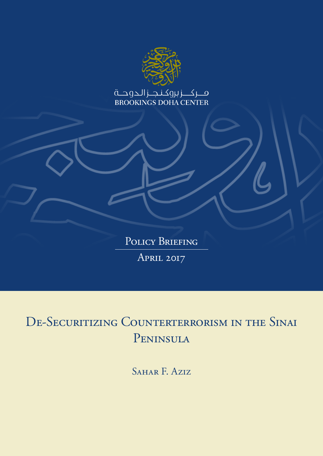

POLICY BRIEFING April 2017

DE-SECURITIZING COUNTERTERRORISM IN THE SINAI Peninsula

SAHAR F. Aziz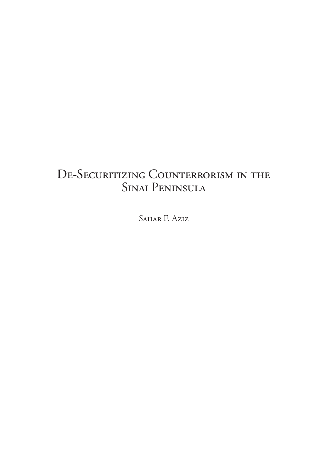# DE-SECURITIZING COUNTERRORISM IN THE Sinai Peninsula

Sahar F. Aziz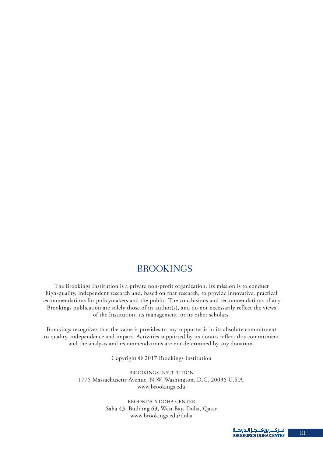# **BROOKINGS**

The Brookings Institution is a private non-profit organization. Its mission is to conduct high-quality, independent research and, based on that research, to provide innovative, practical recommendations for policymakers and the public. The conclusions and recommendations of any Brookings publication are solely those of its author(s), and do not necessarily reflect the views of the Institution, its management, or its other scholars.

Brookings recognizes that the value it provides to any supporter is in its absolute commitment to quality, independence and impact. Activities supported by its donors reflect this commitment and the analysis and recommendations are not determined by any donation.

Copyright © 2017 Brookings Institution

BROOKINGS INSTITUTION 1775 Massachusetts Avenue, N.W. Washington, D.C. 20036 U.S.A. www.brookings.edu

> BROOKINGS DOHA CENTER Saha 43, Building 63, West Bay, Doha, Qatar www.brookings.edu/doha

III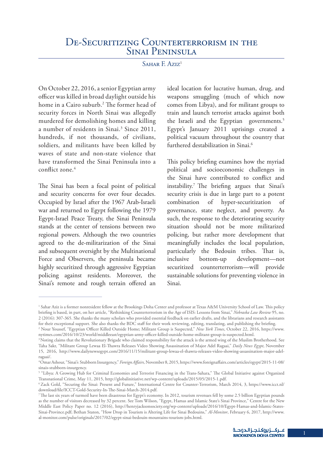### SAHAR F. Aziz<sup>1</sup>

On October 22, 2016, a senior Egyptian army officer was killed in broad daylight outside his home in a Cairo suburb.2 The former head of security forces in North Sinai was allegedly murdered for demolishing homes and killing a number of residents in Sinai.<sup>3</sup> Since 2011, hundreds, if not thousands, of civilians, soldiers, and militants have been killed by waves of state and non-state violence that have transformed the Sinai Peninsula into a conflict zone.4

The Sinai has been a focal point of political and security concerns for over four decades. Occupied by Israel after the 1967 Arab-Israeli war and returned to Egypt following the 1979 Egypt-Israel Peace Treaty, the Sinai Peninsula stands at the center of tensions between two regional powers. Although the two countries agreed to the de-militarization of the Sinai and subsequent oversight by the Multinational Force and Observers, the peninsula became highly securitized through aggressive Egyptian policing against residents. Moreover, the Sinai's remote and rough terrain offered an

ideal location for lucrative human, drug, and weapons smuggling (much of which now comes from Libya), and for militant groups to train and launch terrorist attacks against both the Israeli and the Egyptian governments.<sup>5</sup> Egypt's January 2011 uprisings created a political vacuum throughout the country that furthered destabilization in Sinai.<sup>6</sup>

This policy briefing examines how the myriad political and socioeconomic challenges in the Sinai have contributed to conflict and instability.7 The briefing argues that Sinai's security crisis is due in large part to a potent combination of hyper-securitization of governance, state neglect, and poverty. As such, the response to the deteriorating security situation should not be more militarized policing, but rather more development that meaningfully includes the local population, particularly the Bedouin tribes. That is, inclusive bottom-up development—not securitized counterterrorism—will provide sustainable solutions for preventing violence in Sinai.

<sup>&</sup>lt;sup>1</sup> Sahar Aziz is a former nonresident fellow at the Brookings Doha Center and professor at Texas A&M University School of Law. This policy briefing is based, in part, on her article, "Rethinking Counterterrorism in the Age of ISIS: Lessons from Sinai," *Nebraska Law Review* 95, no. 2 (2016): 307-365. She thanks the many scholars who provided essential feedback on earlier drafts, and the librarians and research assistants for their exceptional support. She also thanks the BDC staff for their work reviewing, editing, translating, and publishing the briefing.

<sup>2</sup> Nour Youssef, "Egyptian Officer Killed Outside Home; Militant Group is Suspected," *New York Times*, October 22, 2016, https://www. nytimes.com/2016/10/23/world/middleeast/egyptian-army-officer-killed-outside-home-militant-group-is-suspected.html.

<sup>&</sup>lt;sup>3</sup> Noting claims that the Revolutionary Brigade who claimed responsibility for the attack is the armed wing of the Muslim Brotherhood. See Taha Sakr, "Militant Group Lewaa El-Thawra Releases Video Showing Assassination of Major Adel Ragaai," *Daily News Egypt*, November 15, 2016, http://www.dailynewsegypt.com/2016/11/15/militant-group-lewaa-el-thawra-releases-video-showing-assassination-major-adelragaai/.

<sup>4</sup> Omar Ashour, "Sinai's Stubborn Insurgency," *Foreign Affairs,* November 8, 2015, https://www.foreignaffairs.com/articles/egypt/2015-11-08/ sinais-stubborn-insurgency.

<sup>5</sup> "Libya: A Growing Hub for Criminal Economies and Terrorist Financing in the Trans-Sahara," The Global Initiative against Organized Transnational Crime, May 11, 2015, http://globalinitiative.net/wp-content/uploads/2015/05/2015-1.pdf.

<sup>6</sup> Zack Gold, "Securing the Sinai: Present and Future," International Centre for Counter-Terrorism, March 2014, 3, https://www.icct.nl/ download/file/ICCT-Gold-Security-In-The-Sinai-March-2014.pdf.

<sup>7</sup> The last six years of turmoil have been disastrous for Egypt's economy. In 2012, tourism revenues fell by some 2.5 billion Egyptian pounds as the number of visitors decreased by 32 percent. See Tom Wilson, "Egypt, Hamas and Islamic State's Sinai Province," Centre for the New Middle East Policy Paper no. 12 (2016), http://henryjacksonsociety.org/wp-content/uploads/2016/10/Egypt-Hamas-and-Islamic-States-Sinai-Province.pdf; Bethan Staton, "How Drop in Tourism is Altering Life for Sinai Bedouins," *Al-Monitor*, February 6, 2017, http://www. al-monitor.com/pulse/originals/2017/02/egypt-sinai-bedouin-mountains-tourism-jobs.html.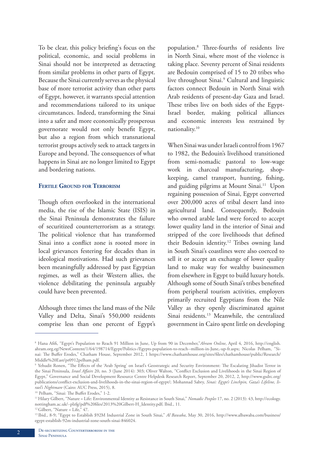To be clear, this policy briefing's focus on the political, economic, and social problems in Sinai should not be interpreted as detracting from similar problems in other parts of Egypt. Because the Sinai currently serves as the physical base of more terrorist activity than other parts of Egypt, however, it warrants special attention and recommendations tailored to its unique circumstances. Indeed, transforming the Sinai into a safer and more economically prosperous governorate would not only benefit Egypt, but also a region from which transnational terrorist groups actively seek to attack targets in Europe and beyond. The consequences of what happens in Sinai are no longer limited to Egypt and bordering nations.

#### **Fertile Ground for Terrorism**

Though often overlooked in the international media, the rise of the Islamic State (ISIS) in the Sinai Peninsula demonstrates the failure of securitized counterterrorism as a strategy. The political violence that has transformed Sinai into a conflict zone is rooted more in local grievances festering for decades than in ideological motivations. Had such grievances been meaningfully addressed by past Egyptian regimes, as well as their Western allies, the violence debilitating the peninsula arguably could have been prevented.

Although three times the land mass of the Nile Valley and Delta, Sinai's 550,000 residents comprise less than one percent of Egypt's

population.8 Three-fourths of residents live in North Sinai, where most of the violence is taking place. Seventy percent of Sinai residents are Bedouin comprised of 15 to 20 tribes who live throughout Sinai.9 Cultural and linguistic factors connect Bedouin in North Sinai with Arab residents of present-day Gaza and Israel. These tribes live on both sides of the Egypt-Israel border, making political alliances and economic interests less restrained by nationality.10

When Sinai was under Israeli control from 1967 to 1982, the Bedouin's livelihood transitioned from semi-nomadic pastoral to low-wage work in charcoal manufacturing, shopkeeping, camel transport, hunting, fishing, and guiding pilgrims at Mount Sinai.<sup>11</sup> Upon regaining possession of Sinai, Egypt converted over 200,000 acres of tribal desert land into agricultural land. Consequently, Bedouin who owned arable land were forced to accept lower quality land in the interior of Sinai and stripped of the core livelihoods that defined their Bedouin identity.<sup>12</sup> Tribes owning land in South Sinai's coastlines were also coerced to sell it or accept an exchange of lower quality land to make way for wealthy businessmen from elsewhere in Egypt to build luxury hotels. Although some of South Sinai's tribes benefited from peripheral tourism activities, employers primarily recruited Egyptians from the Nile Valley as they openly discriminated against Sinai residents.<sup>13</sup> Meanwhile, the centralized government in Cairo spent little on developing

<sup>8</sup> Hana Afifi, "Egypt's Population to Reach 91 Million in June, Up from 90 in December,"*Ahram Online*, April 4, 2016, http://english. ahram.org.eg/NewsContent/1/64/198714/Egypt/Politics-/Egypts-population-to-reach--million-in-June,-up-fr.aspx; Nicolas Pelham, "Sinai: The Buffer Erodes," Chatham House, September 2012, 1 https://www.chathamhouse.org/sites/files/chathamhouse/public/Research/ Middle%20East/pr0912pelham.pdf.

<sup>&</sup>lt;sup>9</sup> Yehudit Ronen, "The Effects of the 'Arab Spring' on Israel's Geostrategic and Security Environment: The Escalating Jihadist Terror in the Sinai Peninsula, *Israel Affairs* 20, no. 3 (June 2014): 303; Oliver Walton, "Conflict Exclusion and Livelihoods in the Sinai Region of Egypt," Governance and Social Development Resource Centre Helpdesk Research Report, September 20, 2012, 2, http://www.gsdrc.org/ publications/conflict-exclusion-and-livelihoods-in-the-sinai-region-of-egypt/; Mohannad Sabry, *Sinai: Egypt's Linchpin, Gaza's Lifeline, Israel's Nightmare* (Cairo: AUC Press, 2015), 8.

<sup>&</sup>lt;sup>10</sup> Pelham, "Sinai: The Buffer Erodes," 1-2.

<sup>11</sup> Hilary Gilbert, "Nature = Life: Environmental Identity as Resistance in South Sinai," *Nomadic Peoples* 17, no. 2 (2013): 43, http://ecology. nottingham.ac.uk/~plzfg/pdf%20files/2013%20Gilbert-H\_Identity.pdf; Ibid., 11.

<sup>&</sup>lt;sup>12</sup> Gilbert, "Nature = Life," 47.

<sup>13</sup> Ibid., 8-9; "Egypt to Establish \$92M Industrial Zone in South Sinai," *Al Bawaba*, May 30, 2016, http://www.albawaba.com/business/ egypt-establish-92m-industrial-zone-south-sinai-846024.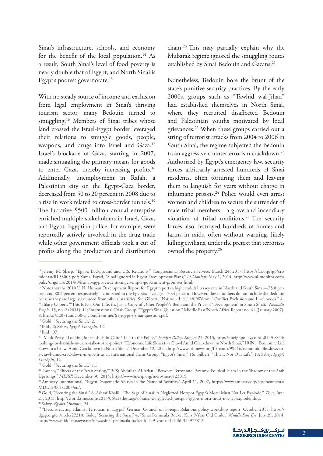Sinai's infrastructure, schools, and economy for the benefit of the local population.<sup>14</sup> As a result, South Sinai's level of food poverty is nearly double that of Egypt, and North Sinai is Egypt's poorest governorate.<sup>15</sup>

With no steady source of income and exclusion from legal employment in Sinai's thriving tourism sector, many Bedouin turned to smuggling.<sup>16</sup> Members of Sinai tribes whose land crossed the Israel-Egypt border leveraged their relations to smuggle goods, people, weapons, and drugs into Israel and Gaza.<sup>17</sup> Israel's blockade of Gaza, starting in 2007, made smuggling the primary means for goods to enter Gaza, thereby increasing profits.<sup>18</sup> Additionally, unemployment in Rafah, a Palestinian city on the Egypt-Gaza border, decreased from 50 to 20 percent in 2008 due to a rise in work related to cross-border tunnels.<sup>19</sup> The lucrative \$500 million annual enterprise enriched multiple stakeholders in Israel, Gaza, and Egypt. Egyptian police, for example, were reportedly actively involved in the drug trade while other government officials took a cut of profits along the production and distribution chain.20 This may partially explain why the Mubarak regime ignored the smuggling routes established by Sinai Bedouin and Gazans.<sup>21</sup>

Nonetheless, Bedouin bore the brunt of the state's punitive security practices. By the early 2000s, groups such as "Tawhid wal-Jihad" had established themselves in North Sinai, where they recruited disaffected Bedouin and Palestinian youths motivated by local grievances.22 When these groups carried out a string of terrorist attacks from 2004 to 2006 in South Sinai, the regime subjected the Bedouin to an aggressive counterterrorism crackdown.<sup>23</sup> Authorized by Egypt's emergency law, security forces arbitrarily arrested hundreds of Sinai residents, often torturing them and leaving them to languish for years without charge in inhumane prisons.<sup>24</sup> Police would even arrest women and children to secure the surrender of male tribal members—a grave and incendiary violation of tribal traditions.<sup>25</sup> The security forces also destroyed hundreds of homes and farms in raids, often without warning, likely killing civilians, under the pretext that terrorists owned the property.26

<sup>14</sup> Jeremy M. Sharp, "Egypt: Background and U.S. Relations," Congressional Research Service, March 24, 2017, https://fas.org/sgp/crs/ mideast/RL33003.pdf; Kamal Fayad, "Sinai Ignored in Egypt Development Plans," *Al-Monitor*, May 1, 2014, http://www.al-monitor.com/ pulse/originals/2014/04/sinai-egypt-residents-anger-empty-government-promises.html.

<sup>&</sup>lt;sup>15</sup> Note that the 2010 U.N. Human Development Report for Egypt reports a higher adult literacy rate in North and South Sinai—75.8 percent and 88.4 percent respectively—compared to the Egyptian average—70.4 percent. However, these numbers do not include the Bedouin because they are largely excluded from official statistics. See Gilbert, "Nature = Life," 48; Walton, "Conflict Exclusion and Livelihoods," 4. 16 Hilary Gilbert, "'This Is Not Our Life, it's Just a Copy of Other People's': Bedu and the Price of 'Development' in South Sinai," *Nomadic Peoples* 15, no. 2 (2011): 11; International Crisis Group, "Egypt's Sinai Question," Middle East/North Africa Report no. 61 (January 2007), 8, https://d2071andvip0wj.cloudfront.net/61-egypt-s-sinai-question.pdf.

<sup>&</sup>lt;sup>17</sup> Gold, "Securing the Sinai," 2.

<sup>18</sup> Ibid., 2; Sabry, *Egypt's Linchpin,* 12.

<sup>19</sup> Ibid., 97.

<sup>20</sup> Mark Perry, "Looking for Hashish in Cairo? Talk to the Police," *Foreign Policy*, August 23, 2013, http://foreignpolicy.com/2013/08/23/ looking-for-hashish-in-cairo-talk-to-the-police/; "Economic Life Slows to a Crawl Amid Crackdown in North Sinai;" IRIN, "Economic Life Slows to a Crawl Amid Crackdown in North Sinai," December 12, 2013, http://www.irinnews.org/fr/report/99316/economic-life-slows-toa-crawl-amid-crackdown-in-north-sinai; International Crisis Group, "Egypt's Sinai," 16; Gilbert, "This is Not Our Life," 18; Sabry, *Egypt's Linchpin*, 12.

<sup>&</sup>lt;sup>21</sup> Gold, "Securing the Sinai," 11.

<sup>22</sup> Ronen, "Effects of the 'Arab Spring,'" 308; Abdullah Al-Arian, "Between Terror and Tyranny: Political Islam in the Shadow of the Arab Uprisings," *MERIP,* December 30, 2015, http://www.merip.org/mero/mero123015.

<sup>&</sup>lt;sup>23</sup> Amnesty International, "Egypt: Systematic Abuses in the Name of Security," April 11, 2007, https://www.amnesty.org/en/documents/ MDE12/001/2007/en/.

<sup>&</sup>lt;sup>24</sup> Gold, "Securing the Sinai," 8; Ashraf Khalil, "The Saga of Sinai: A Neglected Hotspot Egypt's Morsi Must Not Let Explode," Time, June 21, 2013, http://world.time.com/2013/06/21/the-saga-of-sinai-a-neglected-hotspot-egypts-morsi-must-not-let-explode; Ibid. 25 Sabry, *Egypt's Linchpin*, 24.

<sup>26 &</sup>quot;Deconstructing Islamist Terrorism in Egypt," German Council on Foreign Relations policy workshop report, October 2015, https:// dgap.org/en/node/27310; Gold, "Securing the Sinai," 4; "Sinai Peninsula Rocket Kills 9-Year Old Child," *Middle East Eye*, July 29, 2014, http://www.middleeasteye.net/news/sinai-peninsula-rocket-kills-9-year-old-child-313973812.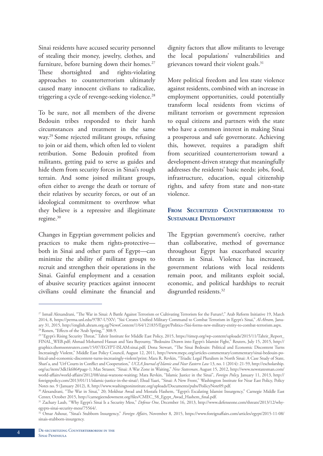Sinai residents have accused security personnel of stealing their money, jewelry, clothes, and furniture, before burning down their homes.<sup>27</sup> These shortsighted and rights-violating approaches to counterterrorism ultimately caused many innocent civilians to radicalize, triggering a cycle of revenge-seeking violence.<sup>28</sup>

To be sure, not all members of the diverse Bedouin tribes responded to their harsh circumstances and treatment in the same way.29 Some rejected militant groups, refusing to join or aid them, which often led to violent retribution. Some Bedouin profited from militants, getting paid to serve as guides and hide them from security forces in Sinai's rough terrain. And some joined militant groups, often either to avenge the death or torture of their relatives by security forces, or out of an ideological commitment to overthrow what they believe is a repressive and illegitimate regime.<sup>30</sup>

Changes in Egyptian government policies and practices to make them rights-protective both in Sinai and other parts of Egypt—can minimize the ability of militant groups to recruit and strengthen their operations in the Sinai. Gainful employment and a cessation of abusive security practices against innocent civilians could eliminate the financial and dignity factors that allow militants to leverage the local populations' vulnerabilities and grievances toward their violent goals.<sup>31</sup>

More political freedom and less state violence against residents, combined with an increase in employment opportunities, could potentially transform local residents from victims of militant terrorism or government repression to equal citizens and partners with the state who have a common interest in making Sinai a prosperous and safe governorate. Achieving this, however, requires a paradigm shift from securitized counterterrorism toward a development-driven strategy that meaningfully addresses the residents' basic needs: jobs, food, infrastructure, education, equal citizenship rights, and safety from state and non-state violence.

#### **From Securitized Counterterrorism to Sustainable Development**

The Egyptian government's coercive, rather than collaborative, method of governance throughout Egypt has exacerbated security threats in Sinai. Violence has increased, government relations with local residents remain poor, and militants exploit social, economic, and political hardships to recruit disgruntled residents.<sup>32</sup>

<sup>27</sup> Ismail Alexandrani, "The War in Sinai: A Battle Against Terrorism or Cultivating Terrorism for the Future?," Arab Reform Initiative 19, March 2014, 8, https://perma.unl.edu/97B7-U5XV; "Sisi Creates Unified Military Command to Combat Terrorism in Egypt's Sinai," *Al-Ahram*, January 31, 2015, http://english.ahram.org.eg/NewsContent/1/64/121835/Egypt/Politics-/Sisi-forms-new-military-entity-to-combat-terrorism.aspx. <sup>28</sup> Ronen, "Effects of the 'Arab Spring,"" 308-9.

<sup>&</sup>lt;sup>29</sup> "Egypt's Rising Security Threat," Tahrir Institute for Middle East Policy, 2015, https://timep.org/wp-content/uploads/2015/11/Tahrir\_Report\_ FINAL\_WEB.pdf; Ahmad Mohamed Hassan and Yara Bayoumy, "Bedouins Drawn into Egypt's Islamist Fight," Reuters, July 15, 2015, http:// graphics.thomsonreuters.com/15/07/EGYPT-ISLAM:sinai.pdf; Dona Stewart, "The Sinai Bedouin: Political and Economic Discontent Turns Increasingly Violent," Middle East Policy Council, August 12, 2011, http://www.mepc.org/articles-commentary/commentary/sinai-bedouin-political-and-economic-discontent-turns-increasingly-violent?print; Mara R. Revkin, "Triadic Legal Pluralism in North Sinai: A Case Study of State, Shari'a, and 'Urf Courts in Conflict and Cooperation," *UCLA Journal of Islamic and Near Eastern Law* 13, no. 1 (2014): 21-59, http://escholarship. org/uc/item/3dk1k686#page-1; Max Strasser, "Sinai: A War Zone in Waiting," *New Statesman*, August 15, 2012, http://www.newstatesman.com/ world-affairs/world-affairs/2012/08/sinai-warzone-waiting; Mara Revkin, "Islamic Justice in the Sinai", *Foreign Policy,* January 11, 2013, http:// foreignpolicy.com/2013/01/11/islamic-justice-in-the-sinai/; Ehud Yaari, "Sinai: A New Front," Washington Institute for Near East Policy, Policy Notes no. 9 (January 2012), 8, http://www.washingtoninstitute.org/uploads/Documents/pubs/PoilicyNote09.pdf.

<sup>30</sup> Alexandrani, "The War in Sinai," 20; Mokhtar Awad and Mostafa Hashem, "Egypt's Escalating Islamist Insurgency," Carnegie Middle East Center, October 2015, http://carnegieendowment.org/files/CMEC\_58\_Egypt\_Awad\_Hashem\_final.pdf.

<sup>&</sup>lt;sup>31</sup> Zachary Laub, "Why Egypt's Sinai Is a Security Mess," Defense One, December 16, 2013, http://www.defenseone.com/threats/2013/12/whyegypts-sinai-security-mess/75564/.

<sup>32</sup> Omar Ashour, "Sinai's Stubborn Insurgency," *Foreign Affairs*, November 8, 2015, https://www.foreignaffairs.com/articles/egypt/2015-11-08/ sinais-stubborn-insurgency.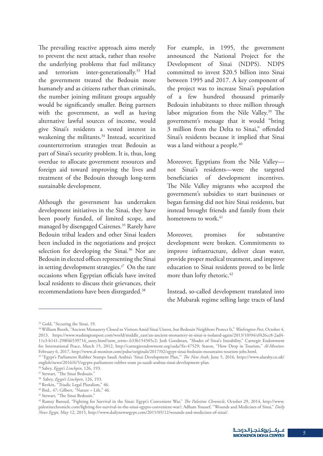The prevailing reactive approach aims merely to prevent the next attack, rather than resolve the underlying problems that fuel militancy and terrorism inter-generationally.<sup>33</sup> Had the government treated the Bedouin more humanely and as citizens rather than criminals, the number joining militant groups arguably would be significantly smaller. Being partners with the government, as well as having alternative lawful sources of income, would give Sinai's residents a vested interest in weakening the militants.<sup>34</sup> Instead, securitized counterterrorism strategies treat Bedouin as part of Sinai's security problem. It is, thus, long overdue to allocate government resources and foreign aid toward improving the lives and treatment of the Bedouin through long-term sustainable development.

Although the government has undertaken development initiatives in the Sinai, they have been poorly funded, of limited scope, and managed by disengaged Cairenes.<sup>35</sup> Rarely have Bedouin tribal leaders and other Sinai leaders been included in the negotiations and project selection for developing the Sinai.<sup>36</sup> Nor are Bedouin in elected offices representing the Sinai in setting development strategies. $37$  On the rare occasions when Egyptian officials have invited local residents to discuss their grievances, their recommendations have been disregarded.38

For example, in 1995, the government announced the National Project for the Development of Sinai (NDPS). NDPS committed to invest \$20.5 billion into Sinai between 1995 and 2017. A key component of the project was to increase Sinai's population of a few hundred thousand primarily Bedouin inhabitants to three million through labor migration from the Nile Valley.<sup>39</sup> The government's message that it would "bring 3 million from the Delta to Sinai," offended Sinai's residents because it implied that Sinai was a land without a people.<sup>40</sup>

Moreover, Egyptians from the Nile Valley not Sinai's residents—were the targeted beneficiaries of development incentives. The Nile Valley migrants who accepted the government's subsidies to start businesses or began farming did not hire Sinai residents, but instead brought friends and family from their hometowns to work.<sup>41</sup>

Moreover, promises for substantive development were broken. Commitments to improve infrastructure, deliver clean water, provide proper medical treatment, and improve education to Sinai residents proved to be little more than lofty rhetoric.<sup>42</sup>

Instead, so-called development translated into the Mubarak regime selling large tracts of land

<sup>33</sup> Gold, "Securing the Sinai, 19.

<sup>34</sup> William Booth, "Ancient Monastery Closed to Visitors Amid Sinai Unrest, but Bedouin Neighbors Protect It," *Washington Post*, October 4, 2013, https://www.washingtonpost.com/world/middle\_east/an-ancient-monastery-in-sinai-is-isolated-again/2013/10/04/ef426cc8-2ad4- 11e3-b141-298f46539716\_story.html?utm\_term=.b33b154505c2; Josh Goodman, "Shades of Sinai's Instability," Carnegie Endowment for International Peace, March 15, 2012, http://carnegieendowment.org/sada/?fa=47529; Staton, "How Drop in Tourism," *Al-Monitor,*  February 6, 2017, http://www.al-monitor.com/pulse/originals/2017/02/egypt-sinai-bedouin-mountains-tourism-jobs.html.

<sup>35 &</sup>quot;Egypt's Parliament Rubber Stamps Saudi Arabia's 'Sinai Development Plan,'" *The New Arab*, June 5, 2016, https://www.alaraby.co.uk/ english/news/2016/6/5/egypts-parliament-rubber-stam ps-saudi-arabias-sinai-development-plan.

<sup>36</sup> Sabry, *Egypt's Linchpin*, 126, 193.

<sup>&</sup>lt;sup>37</sup> Stewart, "The Sinai Bedouin."

<sup>38</sup> Sabry, *Egypt's Linchpin*, 126, 193.

<sup>39</sup> Revkin, "Triadic Legal Pluralism," 46.

 $40$  Ibid., 47; Gilbert, "Nature = Life," 46.

<sup>41</sup> Stewart, "The Sinai Bedouin."

<sup>42</sup> Ramzy Baroud, "Fighting for Survival in the Sinai: Egypt's Convenient War," *The Palestine Chronicle*, October 29, 2014, http://www. palestinechronicle.com/fighting-for-survival-in-the-sinai-egypts-convenient-war/; Adham Youssef, "Wounds and Medicines of Sinai," *Daily News Egypt*, May 12, 2015, http://www.dailynewsegypt.com/2015/05/12/wounds-and-medicines-of-sinai/.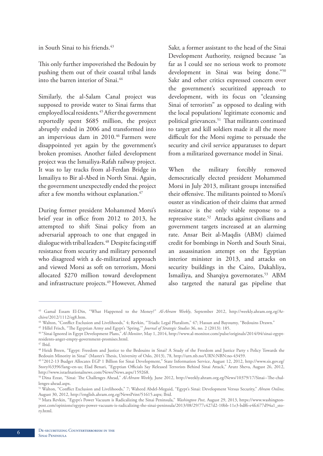in South Sinai to his friends.<sup>43</sup>

This only further impoverished the Bedouin by pushing them out of their coastal tribal lands into the barren interior of Sinai.<sup>44</sup>

Similarly, the al-Salam Canal project was supposed to provide water to Sinai farms that employed local residents.45 After the government reportedly spent \$685 million, the project abruptly ended in 2006 and transformed into an impervious dam in 2010.<sup>46</sup> Farmers were disappointed yet again by the government's broken promises. Another failed development project was the Ismailiya-Rafah railway project. It was to lay tracks from al-Ferdan Bridge in Ismailiya to Bir al-Abed in North Sinai. Again, the government unexpectedly ended the project after a few months without explanation.<sup>47</sup>

During former president Mohammed Morsi's brief year in office from 2012 to 2013, he attempted to shift Sinai policy from an adversarial approach to one that engaged in dialogue with tribal leaders.<sup>48</sup> Despite facing stiff resistance from security and military personnel who disagreed with a de-militarized approach and viewed Morsi as soft on terrorism, Morsi allocated \$270 million toward development and infrastructure projects.<sup>49</sup> However, Ahmed Sakr, a former assistant to the head of the Sinai Development Authority, resigned because "as far as I could see no serious work to promote development in Sinai was being done."50 Sakr and other critics expressed concern over the government's securitized approach to development, with its focus on "cleansing Sinai of terrorists" as opposed to dealing with the local populations' legitimate economic and political grievances.<sup>51</sup> That militants continued to target and kill soldiers made it all the more difficult for the Morsi regime to persuade the security and civil service apparatuses to depart from a militarized governance model in Sinai.

When the military forcibly removed democratically elected president Mohammed Morsi in July 2013, militant groups intensified their offensive. The militants pointed to Morsi's ouster as vindication of their claims that armed resistance is the only viable response to a repressive state.52 Attacks against civilians and government targets increased at an alarming rate. Ansar Beit al-Maqdis (ABM) claimed credit for bombings in North and South Sinai, an assassination attempt on the Egyptian interior minister in 2013, and attacks on security buildings in the Cairo, Dakahliya, Ismailiya, and Sharqiya governorates.<sup>53</sup> ABM also targeted the natural gas pipeline that

<sup>43</sup> Gamal Essam El-Din, "What Happened to the Money?" *Al-Ahram Weekly*, September 2012, http://weekly.ahram.org.eg/Archive/2012/1112/eg8.htm.

<sup>44</sup> Walton, "Conflict Exclusion and Livelihoods," 4; Revkin, "Triadic Legal Pluralism," 47; Hassan and Bayoumy, "Bedouins Drawn."

<sup>45</sup> Hillel Frisch, "The Egyptian Army and Egypt's 'Spring,'" *Journal of Strategic Studies* 36, no. 2 (2013): 185.

<sup>46 &</sup>quot;Sinai Ignored in Egypt Development Plans," *Al-Monitor*, May 1, 2014, http://www.al-monitor.com/pulse/originals/2014/04/sinai-egyptresidents-anger-empty-government-promises.html.

<sup>47</sup> Ibid.

<sup>48</sup> Heidi Breen, "Egypt: Freedom and Justice to the Bedouins in Sinai? A Study of the Freedom and Justice Party s Policy Towards the Bedouin Minority in Sinai" (Master's Thesis, University of Oslo, 2013), 78, http://urn.nb.no/URN:NBN:no-43459.

<sup>49 &</sup>quot;2012-13 Budget Allocates EGP 1 Billion for Sinai Development," State Information Service, August 12, 2012, http://www.sis.gov.eg/ Story/63396?lang=en-us; Elad Benari, "Egyptian Officials Say Released Terrorists Behind Sinai Attack," Arutz Sheva, August 26, 2012, http://www.israelnationalnews.com/News/News.aspx/159268.

<sup>50</sup> Dina Ezzat, "Sinai: The Challenges Ahead," *Al-Ahram Weekly,* June 2012, http://weekly.ahram.org.eg/News/10379/17/Sinai--The-challenges-ahead.aspx.

<sup>51</sup> Walton, "Conflict Exclusion and Livelihoods," 7; Waheed Abdel-Meguid, "Egypt's Sinai: Development Versus Security," *Ahram Online,*  August 30, 2012, http://english.ahram.org.eg/NewsPrint/51615.aspx; Ibid.

<sup>52</sup> Mara Revkin, "Egypt's Power Vacuum is Radicalizing the Sinai Peninsula," *Washington Post*, August 29, 2013, https://www.washingtonpost.com/opinions/egypts-power-vacuum-is-radicalizing-the-sinai-peninsula/2013/08/29/77c427d2-10bb-11e3-bdf6-e4fc677d94a1\_story.html.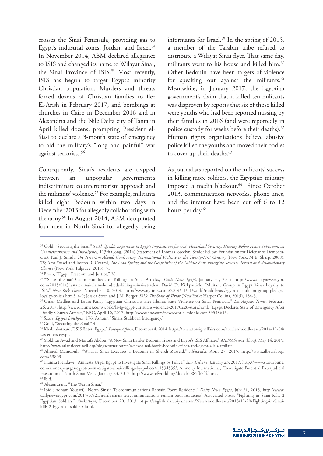crosses the Sinai Peninsula, providing gas to Egypt's industrial zones, Jordan, and Israel.<sup>54</sup> In November 2014, ABM declared allegiance to ISIS and changed its name to Wilayat Sinai, the Sinai Province of ISIS.<sup>55</sup> Most recently, ISIS has begun to target Egypt's minority Christian population. Murders and threats forced dozens of Christian families to flee El-Arish in February 2017, and bombings at churches in Cairo in December 2016 and in Alexandria and the Nile Delta city of Tanta in April killed dozens, prompting President el-Sissi to declare a 3-month state of emergency to aid the military's "long and painful" war against terrorists.<sup>56</sup>

Consequently, Sinai's residents are trapped between an unpopular government's indiscriminate counterterrorism approach and the militants' violence.<sup>57</sup> For example, militants killed eight Bedouin within two days in December 2013 for allegedly collaborating with the army.58 In August 2014, ABM decapitated four men in North Sinai for allegedly being

informants for Israel.<sup>59</sup> In the spring of 2015, a member of the Tarabin tribe refused to distribute a Wilayat Sinai flyer. That same day, militants went to his house and killed him.<sup>60</sup> Other Bedouin have been targets of violence for speaking out against the militants.<sup>61</sup> Meanwhile, in January 2017, the Egyptian government's claim that it killed ten militants was disproven by reports that six of those killed were youths who had been reported missing by their families in 2016 (and were reportedly in police custody for weeks before their deaths).<sup>62</sup> Human rights organizations believe abusive police killed the youths and moved their bodies to cover up their deaths.<sup>63</sup>

As journalists reported on the militants' success in killing more soldiers, the Egyptian military imposed a media blackout.<sup>64</sup> Since October 2013, communication networks, phone lines, and the internet have been cut off 6 to 12 hours per day.<sup>65</sup>

<sup>53</sup> Gold, "Securing the Sinai," 8; *Al-Qaeda's Expansion in Egypt: Implications for U.S. Homeland Security; Hearing Before House Subcomm. on Counterterrorism and Intelligence,* 113th Cong. (2014) (statement of Thomas Joscelyn, Senior Fellow, Foundation for Defense of Democracies); Paul J. Smith, *The Terrorism Ahead: Confronting Transnational Violence in the Twenty-First Century* (New York: M.E. Sharp, 2008), 78; Amr Yossef and Joseph R. Cerami, *The Arab Spring and the Geopolitics of the Middle East: Emerging Security Threats and Revolutionary Change* (New York: Palgrave, 2015), 51.

<sup>&</sup>lt;sup>54</sup> Breen, "Egypt: Freedom and Justice," 26.

<sup>55 &</sup>quot;'State of Sinai' Claim Hundreds of Killings in Sinai Attacks," *Daily News Egypt*, January 31, 2015, http://www.dailynewsegypt. com/2015/01/31/state-sinai-claim-hundreds-killings-sinai-attacks/; David D. Kirkpatrick, "Militant Group in Egypt Vows Loyalty to ISIS," *New York Times*, November 10, 2014, http://www.nytimes.com/2014/11/11/world/middleeast/egyptian-militant-group-pledgesloyalty-to-isis.html?\_r=0; Jessica Stern and J.M. Berger, *ISIS: The State of Terror* (New York: Harper Collins, 2015), 184-5.

<sup>56</sup> Omar Medhat and Laura King, "Egyptian Christians Flee Islamic State Violence on Sinai Peninsula," *Los Angeles Times*, February 26, 2017, http://www.latimes.com/world/la-fg-egypt-christians-violence-20170226-story.html; "Egypt Declares State of Emergency After Deadly Church Attacks," BBC, April 10, 2017, http://www.bbc.com/news/world-middle-east-39548645.

<sup>&</sup>lt;sup>57</sup> Sabry, *Egypt's Linchpin*, 176; Ashour, "Sinai's Stubborn Insurgency."

<sup>&</sup>lt;sup>58</sup> Gold, "Securing the Sinai," 4.

<sup>59</sup> Khalil al-Anani, "ISIS Enters Egypt," *Foreign Affairs*, December 4, 2014, https://www.foreignaffairs.com/articles/middle-east/2014-12-04/ isis-enters-egypt.

<sup>60</sup> Mokhtar Awad and Mostafa Abdou, "A New Sinai Battle? Bedouin Tribes and Egypt's ISIS Affiliate," *MENASource* (blog), May 14, 2015, http://www.atlanticcouncil.org/blogs/menasource/a-new-sinai-battle-bedouin-tribes-and-egypt-s-isis-affiliate.

<sup>61</sup> Ahmed Mamdouh, "Wilayat Sinai Executes a Bedouin in Sheikh Zuweid," *Albawaba,* April 27, 2015, http://www.albawabaeg. com/53809.

<sup>62</sup> Hamza Hendawi, "Amnesty Urges Egypt to Investigate Sinai Killings by Police," *Star Tribune,* January 23, 2017, http://www.startribune. com/amnesty-urges-egypt-to-investigate-sinai-killings-by-police/411534535/; Amnesty International, "Investigate Potential Extrajudicial Execution of North Sinai Men," January 23, 2017, http://www.refworld.org/docid/5885fb7f4.html.  $63$  Ibid.

<sup>64</sup> Alexandrani, "The War in Sinai."

<sup>65</sup> Ibid.; Adham Youssef, "North Sinai's Telecommunications Remain Poor: Residents," *Daily News Egypt*, July 21, 2015, http://www. dailynewsegypt.com/2015/07/21/north-sinais-telecommunications-remain-poor-residents/; Associated Press, "Fighting in Sinai Kills 2 Egyptian Soldiers," *Al-Arabiya*, December 20, 2013, https://english.alarabiya.net/en/News/middle-east/2013/12/20/Fighting-in-Sinaikills-2-Egyptian-soldiers.html.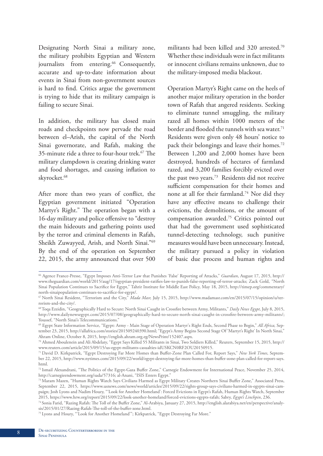Designating North Sinai a military zone, the military prohibits Egyptian and Western journalists from entering.<sup>66</sup> Consequently, accurate and up-to-date information about events in Sinai from non-government sources is hard to find. Critics argue the government is trying to hide that its military campaign is failing to secure Sinai.

In addition, the military has closed main roads and checkpoints now pervade the road between el–Arish, the capital of the North Sinai governorate, and Rafah, making the 35-minute ride a three to four-hour trek.67 The military clampdown is creating drinking water and food shortages, and causing inflation to skyrocket.<sup>68</sup>

After more than two years of conflict, the Egyptian government initiated "Operation Martyr's Right." The operation began with a 16-day military and police offensive to "destroy the main hideouts and gathering points used by the terror and criminal elements in Rafah, Sheikh Zuwayyed, Arish, and North Sinai."69 By the end of the operation on September 22, 2015, the army announced that over 500

militants had been killed and 320 arrested.<sup>70</sup> Whether these individuals were in fact militants or innocent civilians remains unknown, due to the military-imposed media blackout.

Operation Martyr's Right came on the heels of another major military operation in the border town of Rafah that angered residents. Seeking to eliminate tunnel smuggling, the military razed all homes within 1000 meters of the border and flooded the tunnels with sea water.<sup>71</sup> Residents were given only 48 hours' notice to pack their belongings and leave their homes.<sup>72</sup> Between 1,200 and 2,000 homes have been destroyed, hundreds of hectares of farmland razed, and 3,200 families forcibly evicted over the past two years.<sup>73</sup> Residents did not receive sufficient compensation for their homes and none at all for their farmland.<sup>74</sup> Nor did they have any effective means to challenge their evictions, the demolitions, or the amount of compensation awarded.75 Critics pointed out that had the government used sophisticated tunnel-detecting technology, such punitive measures would have been unnecessary. Instead, the military pursued a policy in violation of basic due process and human rights and

<sup>66</sup> Agence France-Presse, "Egypt Imposes Anti-Terror Law that Punishes 'False' Reporting of Attacks," *Guardian*, August 17, 2015, http:// www.theguardian.com/world/2015/aug/17/egyptian-president-ratifies-law-to-punish-false-reporting-of-terror-attacks; Zack Gold, "North Sinai Population Continues to Sacrifice for Egypt," Tahrir Institute for Middle East Policy, May 18, 2015, http://timep.org/commentary/ north-sinaipopulation-continues-to-sacrifice-for-egypt/.

<sup>67</sup> North Sinai Resident, "Terrorism and the City," *Mada Masr,* July 15, 2015, http://www.madamasr.com/en/2015/07/15/opinion/u/terrorism-and-the-city/.

<sup>68</sup> Toqa Ezzidin, "Geographically Hard to Secure: North Sinai Caught in Crossfire between Army, Militants," *Daily News Egypt*, July 8, 2015, http://www.dailynewsegypt.com/2015/07/08/geographically-hard-to-secure-north-sinai-caught-in-crossfire-between-army-militants/; Youssef, "North Sinai's Telecommunications."

<sup>69</sup> Egypt State Information Service, "Egypt: Army - Main Stage of Operation Martyr's Right Ends, Second Phase to Begin," *All Africa,* September 23, 2015, http://allafrica.com/stories/201509240390.html; "Egypt's Army Begins Second Stage Of 'Martyr's Right' In North Sinai," Ahram Online, October 8, 2015, http://english.ahram.org.eg/NewsPrint/152407.aspx.

<sup>70</sup> Ahmed Aboulenein and Ali Abdelaty, "Egypt Says Killed 55 Militants in Sinai, Two Soldiers Killed," Reuters, September 15, 2015, http:// www.reuters.com/article/2015/09/15/us-egypt-militants-casualties-idUSKCN0RF2OU20150915.

<sup>71</sup> David D. Kirkpatrick, "Egypt Destroying Far More Homes than Buffer-Zone Plan Called For, Report Says," *New York Times*, September 22, 2015, http://www.nytimes.com/2015/09/22/world/egypt-destroying-far-more-homes-than-buffer-zone-plan-called-for-report-says. html.

<sup>72</sup> Ismail Alexandrani, "The Politics of the Egypt-Gaza Buffer Zone," Carnegie Endowment for International Peace, November 25, 2014, http://carnegieendowment.org/sada/57316; al-Anani, "ISIS Enters Egypt."

<sup>73</sup> Maram Mazen, "Human Rights Watch Says Civilians Harmed as Egypt Military Creates Northern Sinai Buffer Zone," Associated Press, September 22, 2015, https://www.usnews.com/news/world/articles/2015/09/22/rights-group-says-civilians-harmed-in-egypts-sinai-campaign; Josh Lyons and Nadim Houry, "'Look for Another Homeland': Forced Evictions in Egypt's Rafah, Human Rights Watch, September 2015, https://www.hrw.org/report/2015/09/22/look-another-homeland/forced-evictions-egypts-rafah; Sabry, *Egypt's Linchpin*, 236.

<sup>74</sup> Sonia Farid, "Razing Rafah: The Toll of the Buffer Zone," Al-Arabiya, January 27, 2015, http://english.alarabiya.net/en/perspective/analysis/2015/01/27/Razing-Rafah-The-toll-of-the-buffer-zone.html.

<sup>75</sup> Lyons and Houry, "'Look for Another Homeland'"; Kirkpatrick, "Egypt Destroying Far More."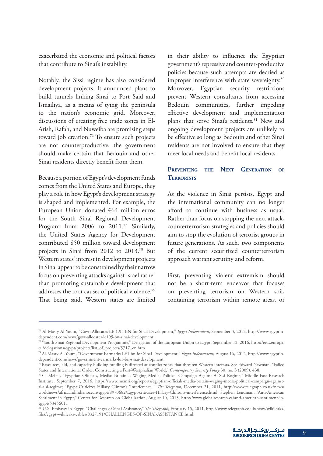exacerbated the economic and political factors that contribute to Sinai's instability.

Notably, the Sissi regime has also considered development projects. It announced plans to build tunnels linking Sinai to Port Said and Ismailiya, as a means of tying the peninsula to the nation's economic grid. Moreover, discussions of creating free trade zones in El-Arish, Rafah, and Nuweiba are promising steps toward job creation.<sup>76</sup> To ensure such projects are not counterproductive, the government should make certain that Bedouin and other Sinai residents directly benefit from them.

Because a portion of Egypt's development funds comes from the United States and Europe, they play a role in how Egypt's development strategy is shaped and implemented. For example, the European Union donated €64 million euros for the South Sinai Regional Development Program from 2006 to 2011.<sup>77</sup> Similarly, the United States Agency for Development contributed \$50 million toward development projects in Sinai from 2012 to 2013.78 But Western states' interest in development projects in Sinai appear to be constrained by their narrow focus on preventing attacks against Israel rather than promoting sustainable development that addresses the root causes of political violence.79 That being said, Western states are limited

in their ability to influence the Egyptian government's repressive and counter-productive policies because such attempts are decried as improper interference with state sovereignty.<sup>80</sup> Moreover, Egyptian security restrictions prevent Western consultants from accessing Bedouin communities, further impeding effective development and implementation plans that serve Sinai's residents.<sup>81</sup> New and ongoing development projects are unlikely to be effective so long as Bedouin and other Sinai residents are not involved to ensure that they meet local needs and benefit local residents.

#### **Preventing the Next Generation of Terrorists**

As the violence in Sinai persists, Egypt and the international community can no longer afford to continue with business as usual. Rather than focus on stopping the next attack, counterterrorism strategies and policies should aim to stop the evolution of terrorist groups in future generations. As such, two components of the current securitized counterterrorism approach warrant scrutiny and reform.

First, preventing violent extremism should not be a short-term endeavor that focuses on preventing terrorism on Western soil, containing terrorism within remote areas, or

<sup>76</sup> Al-Masry Al-Youm, "Govt. Allocates LE 1.95 BN for Sinai Development," *Egypt Independent*, September 3, 2012, http://www.egyptindependent.com/news/govt-allocates-le195-bn-sinai-development.

 $\pi$ <sup>2</sup> South Sinai Regional Development Programme," Delegation of the European Union to Egypt, September 12, 2016, http://eeas.europa. eu/delegations/egypt/projects/list\_of\_projects/5717\_en.htm.

<sup>78</sup> Al-Masry Al-Youm, "Government Earmarks LE1 bn for Sinai Development," *Egypt Independent,* August 16, 2012, http://www.egyptindependent.com/news/government-earmarks-le1-bn-sinai-development.

<sup>79</sup> Resources, aid, and capacity-building funding is directed at conflict zones that threaten Western interests. See Edward Newman, "Failed States and International Order: Constructing a Post-Westphalian World," *Contemporary Security Policy* 30, no. 3 (2009): 438.

<sup>80</sup> C. Meital, "Egyptian Officials, Media: Britain Is Waging Media, Political Campaign Against Al-Sisi Regime," Middle East Research Institute, September 7, 2016, https://www.memri.org/reports/egyptian-officials-media-britain-waging-media-political-campaign-againstal-sisi-regime; "Egypt Criticizes Hillary Clinton's 'Interference,'" *The Telegraph*, December 21, 2011, http://www.telegraph.co.uk/news/ worldnews/africaandindianocean/egypt/8970682/Egypt-criticises-Hillary-Clintons-interference.html; Stephen Lendman, "Anti-American Sentiment in Egypt," Center for Research on Globalization, August 10, 2013, http://www.globalresearch.ca/anti-american-sentiment-inegypt/5345601.

<sup>81</sup> U.S. Embassy in Egypt, "Challenges of Sinai Assistance," *The Telegraph*, February 15, 2011, http://www.telegraph.co.uk/news/wikileaksfiles/egypt-wikileaks-cables/8327191/CHALLENGES-OF-SINAI-ASSISTANCE.html.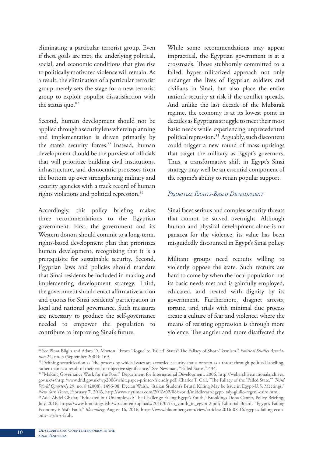eliminating a particular terrorist group. Even if these goals are met, the underlying political, social, and economic conditions that give rise to politically motivated violence will remain. As a result, the elimination of a particular terrorist group merely sets the stage for a new terrorist group to exploit populist dissatisfaction with the status quo.<sup>82</sup>

Second, human development should not be applied through a security lens wherein planning and implementation is driven primarily by the state's security forces.<sup>83</sup> Instead, human development should be the purview of officials that will prioritize building civil institutions, infrastructure, and democratic processes from the bottom up over strengthening military and security agencies with a track record of human rights violations and political repression.<sup>84</sup>

Accordingly, this policy briefing makes three recommendations to the Egyptian government. First, the government and its Western donors should commit to a long-term, rights-based development plan that prioritizes human development, recognizing that it is a prerequisite for sustainable security. Second, Egyptian laws and policies should mandate that Sinai residents be included in making and implementing development strategy. Third, the government should enact affirmative action and quotas for Sinai residents' participation in local and national governance. Such measures are necessary to produce the self-governance needed to empower the population to contribute to improving Sinai's future.

While some recommendations may appear impractical, the Egyptian government is at a crossroads. Those stubbornly committed to a failed, hyper-militarized approach not only endanger the lives of Egyptian soldiers and civilians in Sinai, but also place the entire nation's security at risk if the conflict spreads. And unlike the last decade of the Mubarak regime, the economy is at its lowest point in decades as Egyptians struggle to meet their most basic needs while experiencing unprecedented political repression.<sup>85</sup> Arguably, such discontent could trigger a new round of mass uprisings that target the military as Egypt's governors. Thus, a transformative shift in Egypt's Sinai strategy may well be an essential component of the regime's ability to retain popular support.

#### *Prioritize Rights-Based Development*

Sinai faces serious and complex security threats that cannot be solved overnight. Although human and physical development alone is no panacea for the violence, its value has been misguidedly discounted in Egypt's Sinai policy.

Militant groups need recruits willing to violently oppose the state. Such recruits are hard to come by when the local population has its basic needs met and is gainfully employed, educated, and treated with dignity by its government. Furthermore, dragnet arrests, torture, and trials with minimal due process create a culture of fear and violence, where the means of resisting oppression is through more violence. The angrier and more disaffected the

<sup>82</sup> See Pinar Bilgin and Adam D. Morton, "From 'Rogue' to 'Failed' States? The Fallacy of Short-Termism," *Political Studies Association* 24, no. 3 (September 2004): 169.

<sup>83</sup> Defining securitization as "the process by which issues are accorded security status or seen as a threat through political labelling, rather than as a result of their real or objective significance." See Newman, "Failed States," 434.

<sup>84 &</sup>quot;Making Governance Work for the Poor," Department for International Development, 2006, http://webarchive.nationalarchives. gov.uk/+/http:/www.dfid.gov.uk/wp2006/whitepaper-printer-friendly.pdf; Charles T. Call, "The Fallacy of the 'Failed State,'" *Third World Quarterly* 29, no. 8 (2008): 1496-98; Declan Walsh, "Italian Student's Brutal Killing May be Issue in Egypt-U.S. Meetings," New York Times, February 7, 2016, http://www.nytimes.com/2016/02/08/world/middleeast/egypt-italy-giulio-regeni-cairo.html.<br><sup>85</sup> Adel Abdel Ghafar, "Educated but Unemployed: The Challenge Facing Egypt's Youth," Brookings Do

July 2016, https://www.brookings.edu/wp-content/uploads/2016/07/en\_youth\_in\_egypt-2.pdf; Editorial Board, "Egypt's Failing Economy is Sisi's Fault," *Bloomberg*, August 16, 2016, https://www.bloomberg.com/view/articles/2016-08-16/egypt-s-failing-economy-is-sisi-s-fault.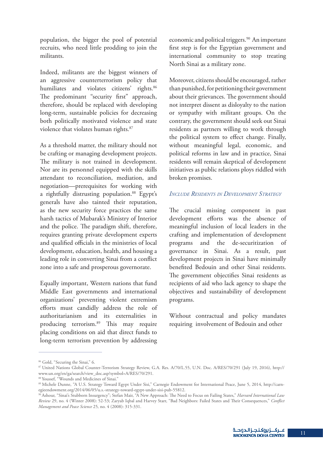population, the bigger the pool of potential recruits, who need little prodding to join the militants.

Indeed, militants are the biggest winners of an aggressive counterterrorism policy that humiliates and violates citizens' rights.<sup>86</sup> The predominant "security first" approach, therefore, should be replaced with developing long-term, sustainable policies for decreasing both politically motivated violence and state violence that violates human rights.<sup>87</sup>

As a threshold matter, the military should not be crafting or managing development projects. The military is not trained in development. Nor are its personnel equipped with the skills attendant to reconciliation, mediation, and negotiation—prerequisites for working with a rightfully distrusting population.<sup>88</sup> Egypt's generals have also tainted their reputation, as the new security force practices the same harsh tactics of Mubarak's Ministry of Interior and the police. The paradigm shift, therefore, requires granting private development experts and qualified officials in the ministries of local development, education, health, and housing a leading role in converting Sinai from a conflict zone into a safe and prosperous governorate.

Equally important, Western nations that fund Middle East governments and international organizations' preventing violent extremism efforts must candidly address the role of authoritarianism and its externalities in producing terrorism.89 This may require placing conditions on aid that direct funds to long-term terrorism prevention by addressing

economic and political triggers.<sup>90</sup> An important first step is for the Egyptian government and international community to stop treating North Sinai as a military zone.

Moreover, citizens should be encouraged, rather than punished, for petitioning their government about their grievances. The government should not interpret dissent as disloyalty to the nation or sympathy with militant groups. On the contrary, the government should seek out Sinai residents as partners willing to work through the political system to effect change. Finally, without meaningful legal, economic, and political reforms in law and in practice, Sinai residents will remain skeptical of development initiatives as public relations ploys riddled with broken promises.

### *Include Residents in Development Strategy*

The crucial missing component in past development efforts was the absence of meaningful inclusion of local leaders in the crafting and implementation of development programs and the de-securitization of governance in Sinai. As a result, past development projects in Sinai have minimally benefited Bedouin and other Sinai residents. The government objectifies Sinai residents as recipients of aid who lack agency to shape the objectives and sustainability of development programs.

Without contractual and policy mandates requiring involvement of Bedouin and other

11

<sup>&</sup>lt;sup>86</sup> Gold, "Securing the Sinai," 6.

<sup>87</sup> United Nations Global Counter-Terrorism Strategy Review, G.A. Res. A/70/L.55, U.N. Doc. A/RES/70/291 (July 19, 2016), http:// www.un.org/en/ga/search/view\_doc.asp?symbol=A/RES/70/291.

<sup>88</sup> Youssef, "Wounds and Medicines of Sinai."

<sup>89</sup> Michele Dunne, "A U.S. Strategy Toward Egypt Under Sisi," Carnegie Endowment for International Peace, June 5, 2014, http://carnegieendowment.org/2014/06/05/u.s.-strategy-toward-egypt-under-sisi-pub-55812.

<sup>90</sup> Ashour, "Sinai's Stubborn Insurgency"; Stefan Mair, "A New Approach: The Need to Focus on Failing States," *Harvard International Law Review* 29, no. 4 (Winter 2008): 52-53; Zaryab Iqbal and Harvey Starr, "Bad Neighbors: Failed States and Their Consequences," *Conflict Management and Peace Science* 25*,* no. 4 (2008): 315-331.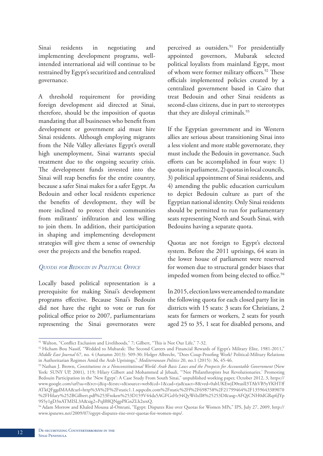Sinai residents in negotiating and implementing development programs, wellintended international aid will continue to be restrained by Egypt's securitized and centralized governance.

A threshold requirement for providing foreign development aid directed at Sinai, therefore, should be the imposition of quotas mandating that all businesses who benefit from development or government aid must hire Sinai residents. Although employing migrants from the Nile Valley alleviates Egypt's overall high unemployment, Sinai warrants special treatment due to the ongoing security crisis. The development funds invested into the Sinai will reap benefits for the entire country, because a safer Sinai makes for a safer Egypt. As Bedouin and other local residents experience the benefits of development, they will be more inclined to protect their communities from militants' infiltration and less willing to join them. In addition, their participation in shaping and implementing development strategies will give them a sense of ownership over the projects and the benefits reaped.

#### *Quotas for Bedouin in Political Office*

Locally based political representation is a prerequisite for making Sinai's development programs effective. Because Sinai's Bedouin did not have the right to vote or run for political office prior to 2007, parliamentarians representing the Sinai governorates were perceived as outsiders.<sup>91</sup> For presidentially appointed governors, Mubarak selected political loyalists from mainland Egypt, most of whom were former military officers.<sup>92</sup> These officials implemented policies created by a centralized government based in Cairo that treat Bedouin and other Sinai residents as second-class citizens, due in part to stereotypes that they are disloyal criminals.<sup>93</sup>

If the Egyptian government and its Western allies are serious about transitioning Sinai into a less violent and more stable governorate, they must include the Bedouin in governance. Such efforts can be accomplished in four ways: 1) quotas in parliament, 2) quotas in local councils, 3) political appointment of Sinai residents, and 4) amending the public education curriculum to depict Bedouin culture as part of the Egyptian national identity. Only Sinai residents should be permitted to run for parliamentary seats representing North and South Sinai, with Bedouins having a separate quota.

Quotas are not foreign to Egypt's electoral system. Before the 2011 uprisings, 64 seats in the lower house of parliament were reserved for women due to structural gender biases that impeded women from being elected to office.<sup>94</sup>

In 2015, election laws were amended to mandate the following quota for each closed party list in districts with 15 seats: 3 seats for Christians, 2 seats for farmers or workers, 2 seats for youth aged 25 to 35, 1 seat for disabled persons, and

<sup>91</sup> Walton, "Conflict Exclusion and Livelihoods," 7; Gilbert, "This is Not Our Life," 7-32.

<sup>92</sup> Hicham Bou Nassif, "Wedded to Mubarak: The Second Careers and Financial Rewards of Egypt's Military Elite, 1981-2011," *Middle East Journal* 67, no. 4 (Autumn 2013): 509-30; Holger Albrecht, "Does Coup-Proofing Work? Political-Military Relations in Authoritarian Regimes Amid the Arab Uprisings," *Mediterranean Politics* 20, no.1 (2015): 36, 45-46.

<sup>93</sup> Nathan J. Brown, *Constitutions in a Nonconstitutional World: Arab Basic Laws and the Prospects for Accountable Government* (New York: SUNY UP, 2001), 119; Hilary Gilbert and Mohammed al Jebaali, "'Not Philanthropists but Revolutionaries.' Promoting Bedouin Participation in the 'New Egypt': A Case Study From South Sinai," unpublished working paper, October 2012, 3, https:// www.google.com/url?sa=t&rct=j&q=&esrc=s&source=web&cd=1&cad=rja&uact=8&ved=0ahUKEwjD0tuslI3TAhVB5yYKHTff ATkQFggdMAA&url=http%3A%2F%2Fstatic1.1.sqspcdn.com%2Fstatic%2Ff%2F698758%2F21799464%2F1359643389070 %2FHilary%252BGilbert.pdf%253Ftoken%253D159V44da5AGFGzHr34QyWtIxIl8%25253D&usg=AFQjCNH0dGRqt6JYp 9S5y1gD3nATMISL3A&sig2=PqIf0lQNgpPlGnZLh2srxQ.

<sup>94</sup> Adam Morrow and Khaled Moussa al-Omrani, "Egypt: Disputes Rise over Quotas for Women MPs," IPS, July 27, 2009, http:// www.ipsnews.net/2009/07/egypt-disputes-rise-over-quotas-for-women-mps/.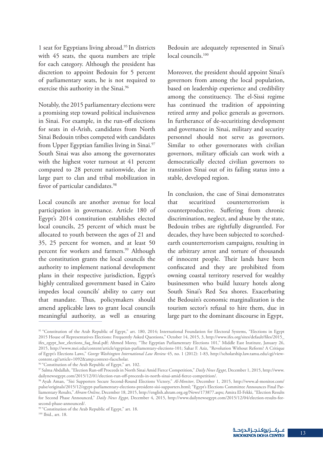1 seat for Egyptians living abroad.95 In districts with 45 seats, the quota numbers are triple for each category. Although the president has discretion to appoint Bedouin for 5 percent of parliamentary seats, he is not required to exercise this authority in the Sinai.<sup>96</sup>

Notably, the 2015 parliamentary elections were a promising step toward political inclusiveness in Sinai. For example, in the run-off elections for seats in el-Arish, candidates from North Sinai Bedouin tribes competed with candidates from Upper Egyptian families living in Sinai.<sup>97</sup> South Sinai was also among the governorates with the highest voter turnout at 41 percent compared to 28 percent nationwide, due in large part to clan and tribal mobilization in favor of particular candidates.<sup>98</sup>

Local councils are another avenue for local participation in governance. Article 180 of Egypt's 2014 constitution establishes elected local councils, 25 percent of which must be allocated to youth between the ages of 21 and 35, 25 percent for women, and at least 50 percent for workers and farmers.<sup>99</sup> Although the constitution grants the local councils the authority to implement national development plans in their respective jurisdiction, Egypt's highly centralized government based in Cairo impedes local councils' ability to carry out that mandate. Thus, policymakers should amend applicable laws to grant local councils meaningful authority, as well as ensuring

Bedouin are adequately represented in Sinai's local councils.<sup>100</sup>

Moreover, the president should appoint Sinai's governors from among the local population, based on leadership experience and credibility among the constituency. The el-Sissi regime has continued the tradition of appointing retired army and police generals as governors. In furtherance of de-securitizing development and governance in Sinai, military and security personnel should not serve as governors. Similar to other governorates with civilian governors, military officials can work with a democratically elected civilian governors to transition Sinai out of its failing status into a stable, developed region.

In conclusion, the case of Sinai demonstrates that securitized counterterrorism is counterproductive. Suffering from chronic discrimination, neglect, and abuse by the state, Bedouin tribes are rightfully disgruntled. For decades, they have been subjected to scorchedearth counterterrorism campaigns, resulting in the arbitrary arrest and torture of thousands of innocent people. Their lands have been confiscated and they are prohibited from owning coastal territory reserved for wealthy businessmen who build luxury hotels along South Sinai's Red Sea shores. Exacerbating the Bedouin's economic marginalization is the tourism sector's refusal to hire them, due in large part to the dominant discourse in Egypt,

<sup>95 &</sup>quot;Constitution of the Arab Republic of Egypt," art. 180, 2014; International Foundation for Electoral Systems, "Elections in Egypt 2015 House of Representatives Elections: Frequently Asked Questions," October 14, 2015, 3, http://www.ifes.org/sites/default/files/2015\_ ifes\_egypt\_hor\_elections\_faq\_final.pdf; Ahmed Morsy, "The Egyptian Parliamentary Elections 101," Middle East Institute, January 26, 2015, http://www.mei.edu/content/article/egyptian-parliamentary-elections-101; Sahar F. Aziz, "Revolution Without Reform? A Critique of Egypt's Elections Laws," *George Washington International Law Review* 45, no. 1 (2012): 1-83, http://scholarship.law.tamu.edu/cgi/viewcontent.cgi?article=1092&context=facscholar.

<sup>&</sup>lt;sup>96</sup> "Constitution of the Arab Republic of Egypt," art. 102.

<sup>97</sup> Salma Abdallah, "Election Run-off Proceeds in North Sinai Amid Fierce Competition," *Daily News Egypt*, December 1, 2015, http://www. dailynewsegypt.com/2015/12/01/election-run-off-proceeds-in-north-sinai-amid-fierce-competition/.

<sup>98</sup> Ayah Aman, "Sisi Supporters Secure Second-Round Elections Victory," *Al-Monitor*, December 1, 2015, http://www.al-monitor.com/ pulse/originals/2015/12/egypt-parliamentary-elections-president-sisi-supporters.html; "Egypt's Elections Committee Announces Final Parliamentary Results," *Ahram Online*, December 18, 2015, http://english.ahram.org.eg/News/173877.aspx; Amira El-Fekki, "Election Results for Second Phase Announced," *Daily News Egypt*, December 4, 2015, http://www.dailynewsegypt.com/2015/12/04/election-results-forsecond-phase-announced/.

<sup>&</sup>lt;sup>99</sup> "Constitution of the Arab Republic of Egypt," art. 18.

<sup>100</sup> Ibid., art. 18.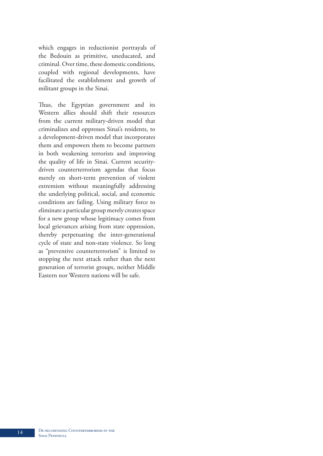which engages in reductionist portrayals of the Bedouin as primitive, uneducated, and criminal. Over time, these domestic conditions, coupled with regional developments, have facilitated the establishment and growth of militant groups in the Sinai.

Thus, the Egyptian government and its Western allies should shift their resources from the current military-driven model that criminalizes and oppresses Sinai's residents, to a development-driven model that incorporates them and empowers them to become partners in both weakening terrorists and improving the quality of life in Sinai. Current securitydriven counterterrorism agendas that focus merely on short-term prevention of violent extremism without meaningfully addressing the underlying political, social, and economic conditions are failing. Using military force to eliminate a particular group merely creates space for a new group whose legitimacy comes from local grievances arising from state oppression, thereby perpetuating the inter-generational cycle of state and non-state violence. So long as "preventive counterterrorism" is limited to stopping the next attack rather than the next generation of terrorist groups, neither Middle Eastern nor Western nations will be safe.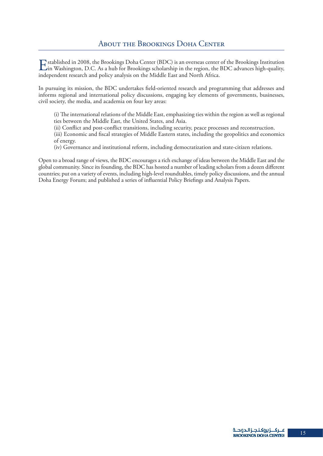Established in 2008, the Brookings Doha Center (BDC) is an overseas center of the Brookings Institution in Washington, D.C. As a hub for Brookings scholarship in the region, the BDC advances high-quality, independent resea independent research and policy analysis on the Middle East and North Africa.

In pursuing its mission, the BDC undertakes field-oriented research and programming that addresses and informs regional and international policy discussions, engaging key elements of governments, businesses, civil society, the media, and academia on four key areas:

(i) The international relations of the Middle East, emphasizing ties within the region as well as regional ties between the Middle East, the United States, and Asia.

(ii) Conflict and post-conflict transitions, including security, peace processes and reconstruction.

(iii) Economic and fiscal strategies of Middle Eastern states, including the geopolitics and economics of energy.

(iv) Governance and institutional reform, including democratization and state-citizen relations.

Open to a broad range of views, the BDC encourages a rich exchange of ideas between the Middle East and the global community. Since its founding, the BDC has hosted a number of leading scholars from a dozen different countries; put on a variety of events, including high-level roundtables, timely policy discussions, and the annual Doha Energy Forum; and published a series of influential Policy Briefings and Analysis Papers.